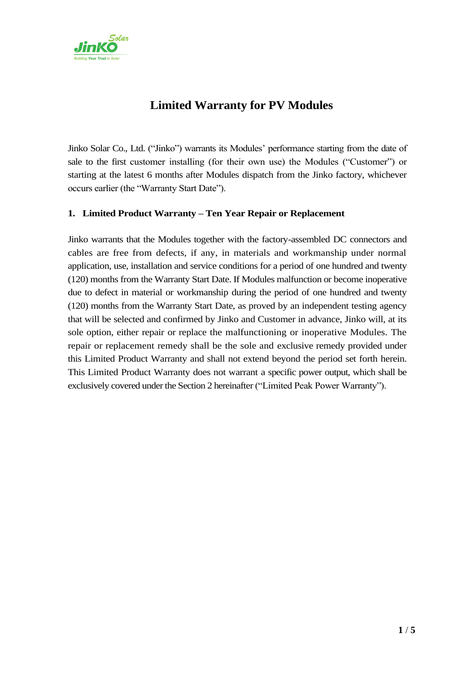

# **Limited Warranty for PV Modules**

Jinko Solar Co., Ltd. ("Jinko") warrants its Modules' performance starting from the date of sale to the first customer installing (for their own use) the Modules ("Customer") or starting at the latest 6 months after Modules dispatch from the Jinko factory, whichever occurs earlier (the "Warranty Start Date").

# **1.** .**Limited Product Warranty – Ten Year Repair or Replacement**

Jinko warrants that the Modules together with the factory-assembled DC connectors and cables are free from defects, if any, in materials and workmanship under normal application, use, installation and service conditions for a period of one hundred and twenty (120) months from the Warranty Start Date. If Modules malfunction or become inoperative due to defect in material or workmanship during the period of one hundred and twenty (120) months from the Warranty Start Date, as proved by an independent testing agency that will be selected and confirmed by Jinko and Customer in advance, Jinko will, at its sole option, either repair or replace the malfunctioning or inoperative Modules. The repair or replacement remedy shall be the sole and exclusive remedy provided under this Limited Product Warranty and shall not extend beyond the period set forth herein. This Limited Product Warranty does not warrant a specific power output, which shall be exclusively covered under the Section 2 hereinafter ("Limited Peak Power Warranty").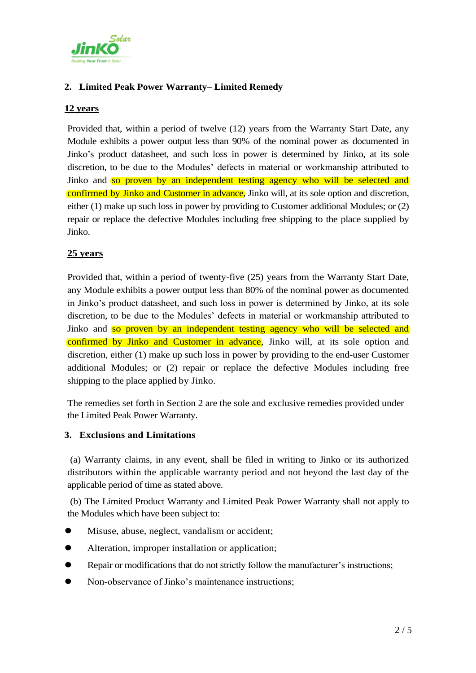

# **2.** .**Limited Peak Power Warranty– Limited Remedy**

## **12 years**

Provided that, within a period of twelve (12) years from the Warranty Start Date, any Module exhibits a power output less than 90% of the nominal power as documented in Jinko's product datasheet, and such loss in power is determined by Jinko, at its sole discretion, to be due to the Modules' defects in material or workmanship attributed to Jinko and so proven by an independent testing agency who will be selected and confirmed by Jinko and Customer in advance, Jinko will, at its sole option and discretion, either (1) make up such loss in power by providing to Customer additional Modules; or (2) repair or replace the defective Modules including free shipping to the place supplied by Jinko.

## **25 years**

Provided that, within a period of twenty-five (25) years from the Warranty Start Date, any Module exhibits a power output less than 80% of the nominal power as documented in Jinko's product datasheet, and such loss in power is determined by Jinko, at its sole discretion, to be due to the Modules' defects in material or workmanship attributed to Jinko and so proven by an independent testing agency who will be selected and confirmed by Jinko and Customer in advance, Jinko will, at its sole option and discretion, either (1) make up such loss in power by providing to the end-user Customer additional Modules; or (2) repair or replace the defective Modules including free shipping to the place applied by Jinko.

The remedies set forth in Section 2 are the sole and exclusive remedies provided under the Limited Peak Power Warranty.

### **3.** .**Exclusions and Limitations**

(a) Warranty claims, in any event, shall be filed in writing to Jinko or its authorized distributors within the applicable warranty period and not beyond the last day of the applicable period of time as stated above.

(b) The Limited Product Warranty and Limited Peak Power Warranty shall not apply to the Modules which have been subject to:

- Misuse, abuse, neglect, vandalism or accident;
- Alteration, improper installation or application;
- Repair or modifications that do not strictly follow the manufacturer's instructions;
- Non-observance of Jinko's maintenance instructions;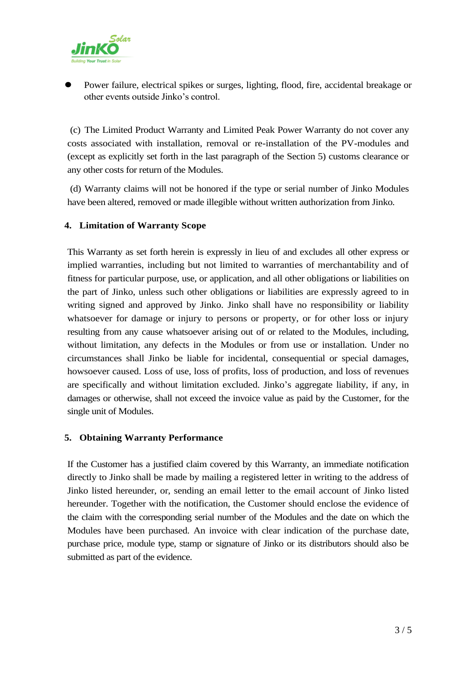

 Power failure, electrical spikes or surges, lighting, flood, fire, accidental breakage or other events outside Jinko's control.

(c) The Limited Product Warranty and Limited Peak Power Warranty do not cover any costs associated with installation, removal or re-installation of the PV-modules and (except as explicitly set forth in the last paragraph of the Section 5) customs clearance or any other costs for return of the Modules.

(d) Warranty claims will not be honored if the type or serial number of Jinko Modules have been altered, removed or made illegible without written authorization from Jinko.

## **4.** .**Limitation of Warranty Scope**

This Warranty as set forth herein is expressly in lieu of and excludes all other express or implied warranties, including but not limited to warranties of merchantability and of fitness for particular purpose, use, or application, and all other obligations or liabilities on the part of Jinko, unless such other obligations or liabilities are expressly agreed to in writing signed and approved by Jinko. Jinko shall have no responsibility or liability whatsoever for damage or injury to persons or property, or for other loss or injury resulting from any cause whatsoever arising out of or related to the Modules, including, without limitation, any defects in the Modules or from use or installation. Under no circumstances shall Jinko be liable for incidental, consequential or special damages, howsoever caused. Loss of use, loss of profits, loss of production, and loss of revenues are specifically and without limitation excluded. Jinko's aggregate liability, if any, in damages or otherwise, shall not exceed the invoice value as paid by the Customer, for the single unit of Modules.

### **5.** .**Obtaining Warranty Performance**

If the Customer has a justified claim covered by this Warranty, an immediate notification directly to Jinko shall be made by mailing a registered letter in writing to the address of Jinko listed hereunder, or, sending an email letter to the email account of Jinko listed hereunder. Together with the notification, the Customer should enclose the evidence of the claim with the corresponding serial number of the Modules and the date on which the Modules have been purchased. An invoice with clear indication of the purchase date, purchase price, module type, stamp or signature of Jinko or its distributors should also be submitted as part of the evidence.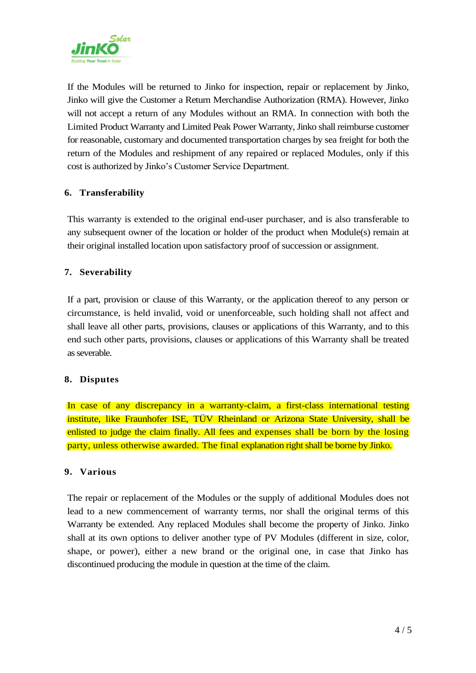

If the Modules will be returned to Jinko for inspection, repair or replacement by Jinko, Jinko will give the Customer a Return Merchandise Authorization (RMA). However, Jinko will not accept a return of any Modules without an RMA. In connection with both the Limited Product Warranty and Limited Peak Power Warranty, Jinko shall reimburse customer for reasonable, customary and documented transportation charges by sea freight for both the return of the Modules and reshipment of any repaired or replaced Modules, only if this cost is authorized by Jinko's Customer Service Department.

## **6.** .**Transferability**

This warranty is extended to the original end-user purchaser, and is also transferable to any subsequent owner of the location or holder of the product when Module(s) remain at their original installed location upon satisfactory proof of succession or assignment.

## **7.** .**Severability**

If a part, provision or clause of this Warranty, or the application thereof to any person or circumstance, is held invalid, void or unenforceable, such holding shall not affect and shall leave all other parts, provisions, clauses or applications of this Warranty, and to this end such other parts, provisions, clauses or applications of this Warranty shall be treated as severable.

### **8.** .**Disputes**

In case of any discrepancy in a warranty-claim, a first-class international testing institute, like Fraunhofer ISE, TÜV Rheinland or Arizona State University, shall be enlisted to judge the claim finally. All fees and expenses shall be born by the losing party, unless otherwise awarded. The final explanation right shall be borne by Jinko.

### **9.** .**Various**

The repair or replacement of the Modules or the supply of additional Modules does not lead to a new commencement of warranty terms, nor shall the original terms of this Warranty be extended. Any replaced Modules shall become the property of Jinko. Jinko shall at its own options to deliver another type of PV Modules (different in size, color, shape, or power), either a new brand or the original one, in case that Jinko has discontinued producing the module in question at the time of the claim.